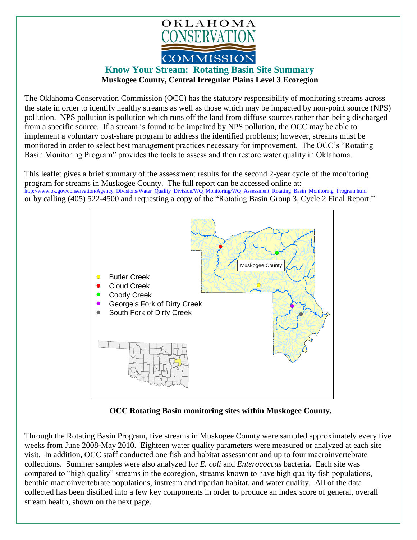

## **Know Your Stream: Rotating Basin Site Summary Muskogee County, Central Irregular Plains Level 3 Ecoregion**

The Oklahoma Conservation Commission (OCC) has the statutory responsibility of monitoring streams across the state in order to identify healthy streams as well as those which may be impacted by non-point source (NPS) pollution. NPS pollution is pollution which runs off the land from diffuse sources rather than being discharged from a specific source. If a stream is found to be impaired by NPS pollution, the OCC may be able to implement a voluntary cost-share program to address the identified problems; however, streams must be monitored in order to select best management practices necessary for improvement. The OCC's "Rotating Basin Monitoring Program" provides the tools to assess and then restore water quality in Oklahoma.

This leaflet gives a brief summary of the assessment results for the second 2-year cycle of the monitoring program for streams in Muskogee County. The full report can be accessed online at: [http://www.ok.gov/conservation/Agency\\_Divisions/Water\\_Quality\\_Division/WQ\\_Monitoring/WQ\\_Assessment\\_Rotating\\_Basin\\_Monitoring\\_Program.html](http://www.ok.gov/conservation/Agency_Divisions/Water_Quality_Division/WQ_Monitoring/WQ_Assessment_Rotating_Basin_Monitoring_Program.html)  or by calling (405) 522-4500 and requesting a copy of the "Rotating Basin Group 3, Cycle 2 Final Report."



**OCC Rotating Basin monitoring sites within Muskogee County.**

Through the Rotating Basin Program, five streams in Muskogee County were sampled approximately every five weeks from June 2008-May 2010. Eighteen water quality parameters were measured or analyzed at each site visit. In addition, OCC staff conducted one fish and habitat assessment and up to four macroinvertebrate collections. Summer samples were also analyzed for *E. coli* and *Enterococcus* bacteria. Each site was compared to "high quality" streams in the ecoregion, streams known to have high quality fish populations, benthic macroinvertebrate populations, instream and riparian habitat, and water quality. All of the data collected has been distilled into a few key components in order to produce an index score of general, overall stream health, shown on the next page.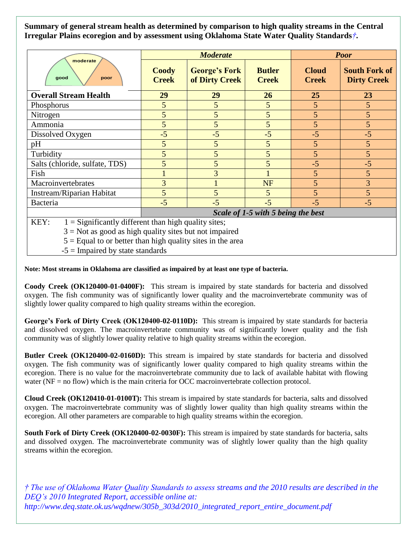**Summary of general stream health as determined by comparison to high quality streams in the Central Irregular Plains ecoregion and by assessment using Oklahoma State Water Quality Standards***†***.**

| moderate<br>good<br>poor                                       | <b>Moderate</b>                    |                                        |                               | <b>Poor</b>                  |                                            |
|----------------------------------------------------------------|------------------------------------|----------------------------------------|-------------------------------|------------------------------|--------------------------------------------|
|                                                                | <b>Coody</b><br><b>Creek</b>       | <b>George's Fork</b><br>of Dirty Creek | <b>Butler</b><br><b>Creek</b> | <b>Cloud</b><br><b>Creek</b> | <b>South Fork of</b><br><b>Dirty Creek</b> |
| <b>Overall Stream Health</b>                                   | 29                                 | 29                                     | 26                            | 25                           | 23                                         |
| Phosphorus                                                     | $5\overline{)}$                    | 5                                      | 5                             | 5                            | $5\overline{)}$                            |
| Nitrogen                                                       | 5 <sup>5</sup>                     | 5                                      | 5                             | 5                            | 5 <sup>5</sup>                             |
| Ammonia                                                        | $5\overline{)}$                    | 5                                      | 5                             | 5                            | 5 <sup>5</sup>                             |
| Dissolved Oxygen                                               | $-5$                               | $-5$                                   | $-5$                          | $-5$                         | $-5$                                       |
| pH                                                             | 5 <sup>5</sup>                     | 5                                      | 5                             | 5                            | $\overline{5}$                             |
| Turbidity                                                      | 5                                  | 5                                      | 5                             | 5                            | 5 <sup>5</sup>                             |
| Salts (chloride, sulfate, TDS)                                 | 5                                  | 5                                      | 5                             | $-5$                         | $-5$                                       |
| Fish                                                           |                                    | 3                                      |                               | 5                            | 5 <sup>5</sup>                             |
| Macroinvertebrates                                             | 3                                  |                                        | <b>NF</b>                     | 5                            | $\overline{3}$                             |
| Instream/Riparian Habitat                                      | 5 <sup>5</sup>                     | 5                                      | 5                             | 5                            | 5 <sup>5</sup>                             |
| Bacteria                                                       | $-5$                               | $-5$                                   | $-5$                          | $-5$                         | $-5$                                       |
|                                                                | Scale of 1-5 with 5 being the best |                                        |                               |                              |                                            |
| KEY:<br>$1 =$ Significantly different than high quality sites; |                                    |                                        |                               |                              |                                            |

 $3 = Not$  as good as high quality sites but not impaired

 $5 =$  Equal to or better than high quality sites in the area

 $-5 =$  Impaired by state standards

**Note: Most streams in Oklahoma are classified as impaired by at least one type of bacteria.**

**Coody Creek (OK120400-01-0400F):** This stream is impaired by state standards for bacteria and dissolved oxygen. The fish community was of significantly lower quality and the macroinvertebrate community was of slightly lower quality compared to high quality streams within the ecoregion.

**George's Fork of Dirty Creek (OK120400-02-0110D):** This stream is impaired by state standards for bacteria and dissolved oxygen. The macroinvertebrate community was of significantly lower quality and the fish community was of slightly lower quality relative to high quality streams within the ecoregion.

**Butler Creek (OK120400-02-0160D):** This stream is impaired by state standards for bacteria and dissolved oxygen. The fish community was of significantly lower quality compared to high quality streams within the ecoregion. There is no value for the macroinvertebrate community due to lack of available habitat with flowing water (NF = no flow) which is the main criteria for OCC macroinvertebrate collection protocol.

**Cloud Creek (OK120410-01-0100T):** This stream is impaired by state standards for bacteria, salts and dissolved oxygen. The macroinvertebrate community was of slightly lower quality than high quality streams within the ecoregion. All other parameters are comparable to high quality streams within the ecoregion.

**South Fork of Dirty Creek (OK120400-02-0030F):** This stream is impaired by state standards for bacteria, salts and dissolved oxygen. The macroinvertebrate community was of slightly lower quality than the high quality streams within the ecoregion.

*† The use of Oklahoma Water Quality Standards to assess streams and the 2010 results are described in the DEQ's 2010 Integrated Report, accessible online at: http://www.deq.state.ok.us/wqdnew/305b\_303d/2010\_integrated\_report\_entire\_document.pdf*